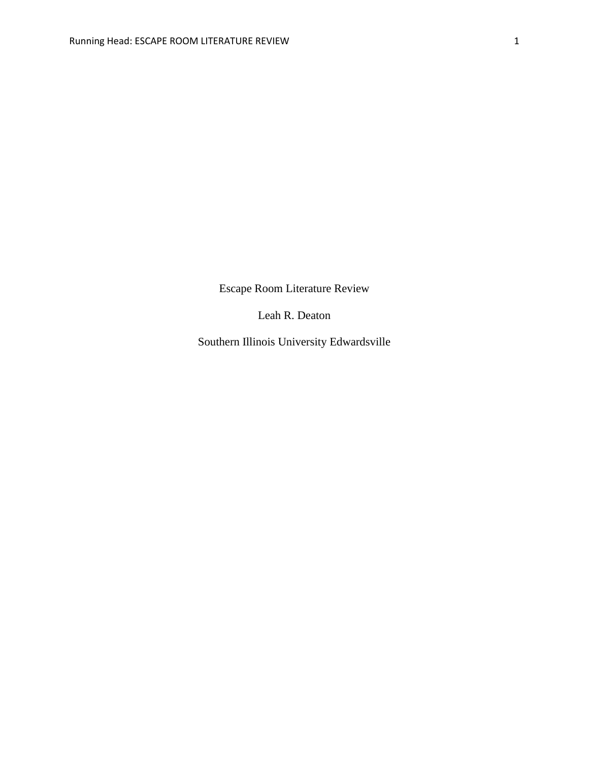Escape Room Literature Review

Leah R. Deaton

Southern Illinois University Edwardsville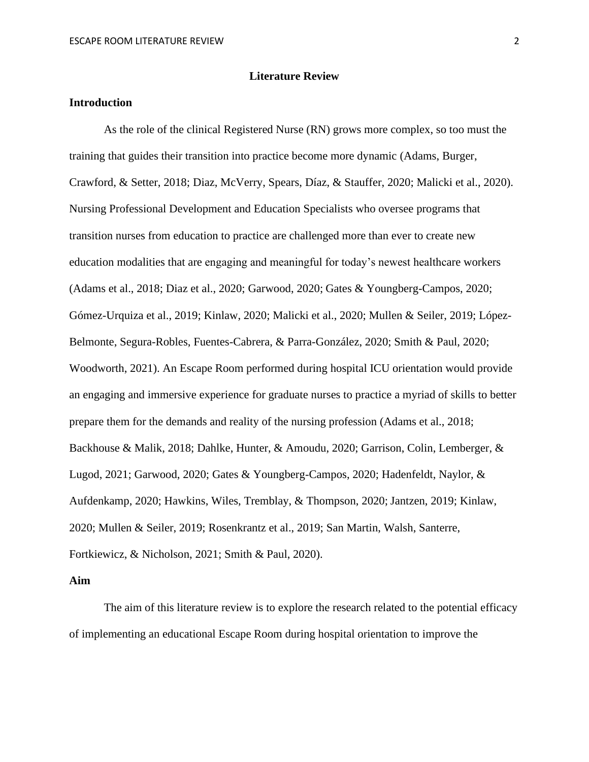#### **Literature Review**

# **Introduction**

As the role of the clinical Registered Nurse (RN) grows more complex, so too must the training that guides their transition into practice become more dynamic (Adams, Burger, Crawford, & Setter, 2018; Diaz, McVerry, Spears, Díaz, & Stauffer, 2020; Malicki et al., 2020). Nursing Professional Development and Education Specialists who oversee programs that transition nurses from education to practice are challenged more than ever to create new education modalities that are engaging and meaningful for today's newest healthcare workers (Adams et al., 2018; Diaz et al., 2020; Garwood, 2020; Gates & Youngberg-Campos, 2020; Gómez-Urquiza et al., 2019; Kinlaw, 2020; Malicki et al., 2020; Mullen & Seiler, 2019; López-Belmonte, Segura-Robles, Fuentes-Cabrera, & Parra-González, 2020; Smith & Paul, 2020; Woodworth, 2021). An Escape Room performed during hospital ICU orientation would provide an engaging and immersive experience for graduate nurses to practice a myriad of skills to better prepare them for the demands and reality of the nursing profession (Adams et al., 2018; Backhouse & Malik, 2018; Dahlke, Hunter, & Amoudu, 2020; Garrison, Colin, Lemberger, & Lugod, 2021; Garwood, 2020; Gates & Youngberg-Campos, 2020; Hadenfeldt, Naylor, & Aufdenkamp, 2020; Hawkins, Wiles, Tremblay, & Thompson, 2020; Jantzen, 2019; Kinlaw, 2020; Mullen & Seiler, 2019; Rosenkrantz et al., 2019; San Martin, Walsh, Santerre, Fortkiewicz, & Nicholson, 2021; Smith & Paul, 2020).

### **Aim**

The aim of this literature review is to explore the research related to the potential efficacy of implementing an educational Escape Room during hospital orientation to improve the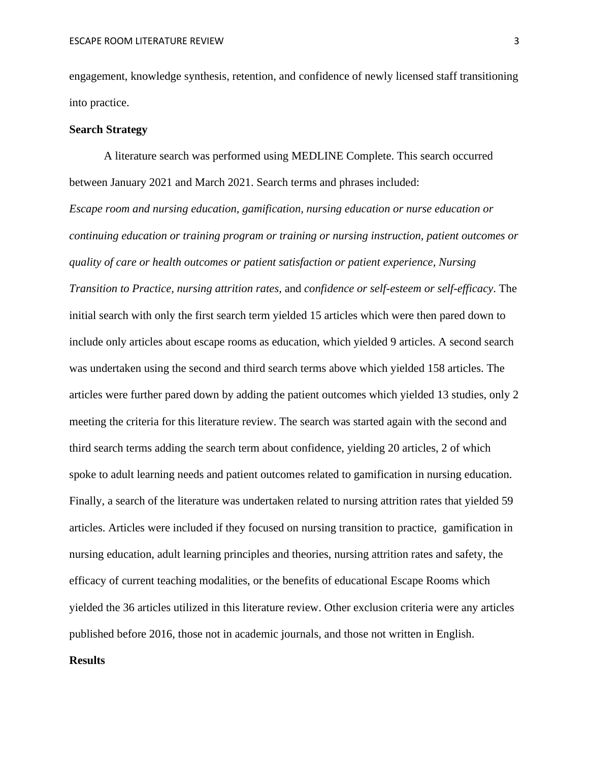engagement, knowledge synthesis, retention, and confidence of newly licensed staff transitioning into practice.

## **Search Strategy**

A literature search was performed using MEDLINE Complete. This search occurred between January 2021 and March 2021. Search terms and phrases included:

*Escape room and nursing education, gamification, nursing education or nurse education or continuing education or training program or training or nursing instruction, patient outcomes or quality of care or health outcomes or patient satisfaction or patient experience, Nursing Transition to Practice, nursing attrition rates,* and *confidence or self-esteem or self-efficacy*. The initial search with only the first search term yielded 15 articles which were then pared down to include only articles about escape rooms as education, which yielded 9 articles. A second search was undertaken using the second and third search terms above which yielded 158 articles. The articles were further pared down by adding the patient outcomes which yielded 13 studies, only 2 meeting the criteria for this literature review. The search was started again with the second and third search terms adding the search term about confidence, yielding 20 articles, 2 of which spoke to adult learning needs and patient outcomes related to gamification in nursing education. Finally, a search of the literature was undertaken related to nursing attrition rates that yielded 59 articles. Articles were included if they focused on nursing transition to practice, gamification in nursing education, adult learning principles and theories, nursing attrition rates and safety, the efficacy of current teaching modalities, or the benefits of educational Escape Rooms which yielded the 36 articles utilized in this literature review. Other exclusion criteria were any articles published before 2016, those not in academic journals, and those not written in English.

## **Results**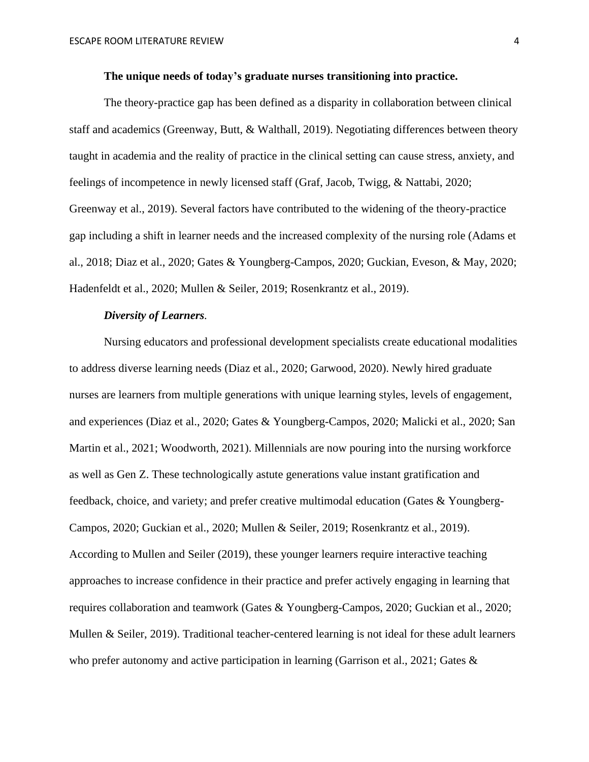### **The unique needs of today's graduate nurses transitioning into practice.**

The theory-practice gap has been defined as a disparity in collaboration between clinical staff and academics (Greenway, Butt, & Walthall, 2019). Negotiating differences between theory taught in academia and the reality of practice in the clinical setting can cause stress, anxiety, and feelings of incompetence in newly licensed staff (Graf, Jacob, Twigg, & Nattabi, 2020; Greenway et al., 2019). Several factors have contributed to the widening of the theory-practice gap including a shift in learner needs and the increased complexity of the nursing role (Adams et al., 2018; Diaz et al., 2020; Gates & Youngberg-Campos, 2020; Guckian, Eveson, & May, 2020; Hadenfeldt et al., 2020; Mullen & Seiler, 2019; Rosenkrantz et al., 2019).

## *Diversity of Learners.*

Nursing educators and professional development specialists create educational modalities to address diverse learning needs (Diaz et al., 2020; Garwood, 2020). Newly hired graduate nurses are learners from multiple generations with unique learning styles, levels of engagement, and experiences (Diaz et al., 2020; Gates & Youngberg-Campos, 2020; Malicki et al., 2020; San Martin et al., 2021; Woodworth, 2021). Millennials are now pouring into the nursing workforce as well as Gen Z. These technologically astute generations value instant gratification and feedback, choice, and variety; and prefer creative multimodal education (Gates & Youngberg-Campos, 2020; Guckian et al., 2020; Mullen & Seiler, 2019; Rosenkrantz et al., 2019). According to Mullen and Seiler (2019), these younger learners require interactive teaching approaches to increase confidence in their practice and prefer actively engaging in learning that requires collaboration and teamwork (Gates & Youngberg-Campos, 2020; Guckian et al., 2020; Mullen & Seiler, 2019). Traditional teacher-centered learning is not ideal for these adult learners who prefer autonomy and active participation in learning (Garrison et al., 2021; Gates  $\&$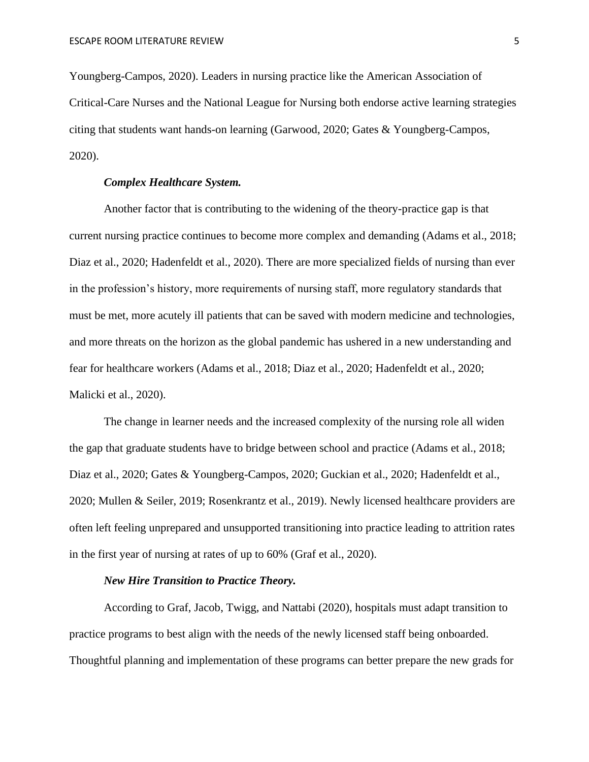Youngberg-Campos, 2020). Leaders in nursing practice like the American Association of Critical-Care Nurses and the National League for Nursing both endorse active learning strategies citing that students want hands-on learning (Garwood, 2020; Gates & Youngberg-Campos, 2020).

## *Complex Healthcare System.*

Another factor that is contributing to the widening of the theory-practice gap is that current nursing practice continues to become more complex and demanding (Adams et al., 2018; Diaz et al., 2020; Hadenfeldt et al., 2020). There are more specialized fields of nursing than ever in the profession's history, more requirements of nursing staff, more regulatory standards that must be met, more acutely ill patients that can be saved with modern medicine and technologies, and more threats on the horizon as the global pandemic has ushered in a new understanding and fear for healthcare workers (Adams et al., 2018; Diaz et al., 2020; Hadenfeldt et al., 2020; Malicki et al., 2020).

The change in learner needs and the increased complexity of the nursing role all widen the gap that graduate students have to bridge between school and practice (Adams et al., 2018; Diaz et al., 2020; Gates & Youngberg-Campos, 2020; Guckian et al., 2020; Hadenfeldt et al., 2020; Mullen & Seiler, 2019; Rosenkrantz et al., 2019). Newly licensed healthcare providers are often left feeling unprepared and unsupported transitioning into practice leading to attrition rates in the first year of nursing at rates of up to 60% (Graf et al., 2020).

#### *New Hire Transition to Practice Theory.*

According to Graf, Jacob, Twigg, and Nattabi (2020), hospitals must adapt transition to practice programs to best align with the needs of the newly licensed staff being onboarded. Thoughtful planning and implementation of these programs can better prepare the new grads for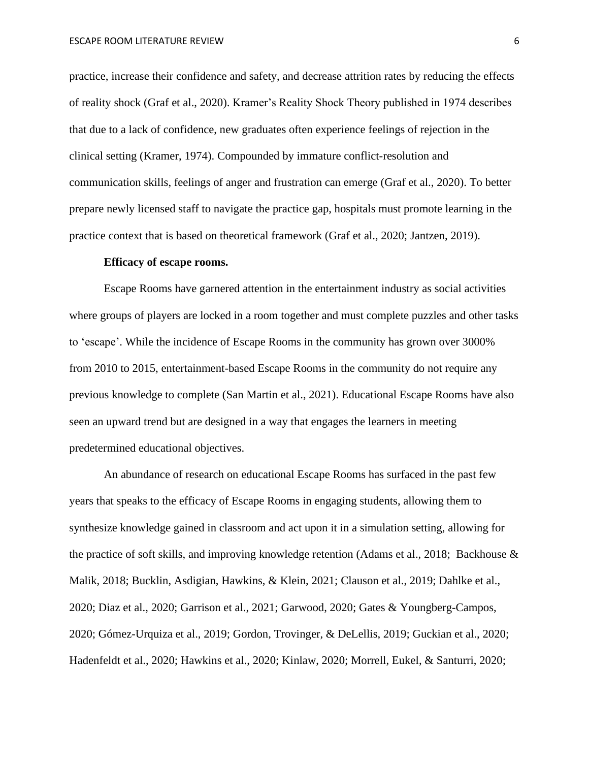practice, increase their confidence and safety, and decrease attrition rates by reducing the effects of reality shock (Graf et al., 2020). Kramer's Reality Shock Theory published in 1974 describes that due to a lack of confidence, new graduates often experience feelings of rejection in the clinical setting (Kramer, 1974). Compounded by immature conflict-resolution and communication skills, feelings of anger and frustration can emerge (Graf et al., 2020). To better prepare newly licensed staff to navigate the practice gap, hospitals must promote learning in the practice context that is based on theoretical framework (Graf et al., 2020; Jantzen, 2019).

### **Efficacy of escape rooms.**

Escape Rooms have garnered attention in the entertainment industry as social activities where groups of players are locked in a room together and must complete puzzles and other tasks to 'escape'. While the incidence of Escape Rooms in the community has grown over 3000% from 2010 to 2015, entertainment-based Escape Rooms in the community do not require any previous knowledge to complete (San Martin et al., 2021). Educational Escape Rooms have also seen an upward trend but are designed in a way that engages the learners in meeting predetermined educational objectives.

An abundance of research on educational Escape Rooms has surfaced in the past few years that speaks to the efficacy of Escape Rooms in engaging students, allowing them to synthesize knowledge gained in classroom and act upon it in a simulation setting, allowing for the practice of soft skills, and improving knowledge retention (Adams et al., 2018; Backhouse & Malik, 2018; Bucklin, Asdigian, Hawkins, & Klein, 2021; Clauson et al., 2019; Dahlke et al., 2020; Diaz et al., 2020; Garrison et al., 2021; Garwood, 2020; Gates & Youngberg-Campos, 2020; Gómez-Urquiza et al., 2019; Gordon, Trovinger, & DeLellis, 2019; Guckian et al., 2020; Hadenfeldt et al., 2020; Hawkins et al., 2020; Kinlaw, 2020; Morrell, Eukel, & Santurri, 2020;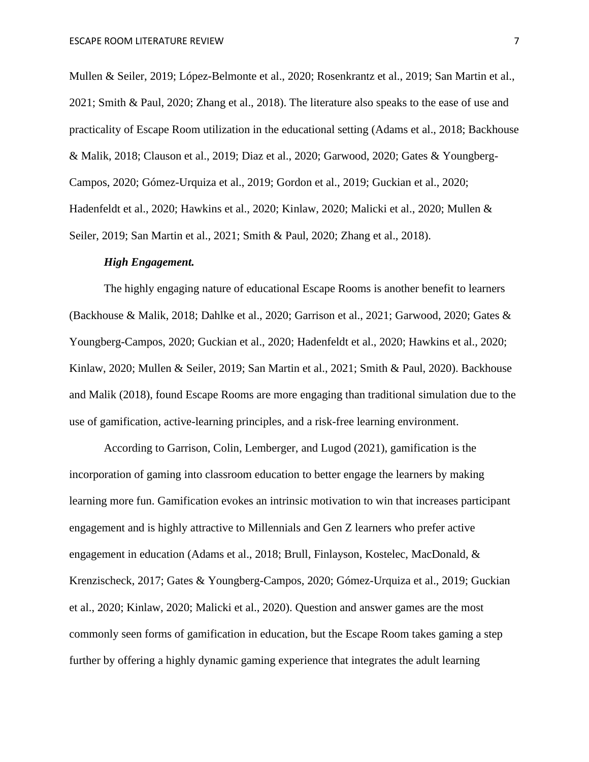Mullen & Seiler, 2019; López-Belmonte et al., 2020; Rosenkrantz et al., 2019; San Martin et al., 2021; Smith & Paul, 2020; Zhang et al., 2018). The literature also speaks to the ease of use and practicality of Escape Room utilization in the educational setting (Adams et al., 2018; Backhouse & Malik, 2018; Clauson et al., 2019; Diaz et al., 2020; Garwood, 2020; Gates & Youngberg-Campos, 2020; Gómez-Urquiza et al., 2019; Gordon et al., 2019; Guckian et al., 2020; Hadenfeldt et al., 2020; Hawkins et al., 2020; Kinlaw, 2020; Malicki et al., 2020; Mullen & Seiler, 2019; San Martin et al., 2021; Smith & Paul, 2020; Zhang et al., 2018).

#### *High Engagement.*

The highly engaging nature of educational Escape Rooms is another benefit to learners (Backhouse & Malik, 2018; Dahlke et al., 2020; Garrison et al., 2021; Garwood, 2020; Gates & Youngberg-Campos, 2020; Guckian et al., 2020; Hadenfeldt et al., 2020; Hawkins et al., 2020; Kinlaw, 2020; Mullen & Seiler, 2019; San Martin et al., 2021; Smith & Paul, 2020). Backhouse and Malik (2018), found Escape Rooms are more engaging than traditional simulation due to the use of gamification, active-learning principles, and a risk-free learning environment.

According to Garrison, Colin, Lemberger, and Lugod (2021), gamification is the incorporation of gaming into classroom education to better engage the learners by making learning more fun. Gamification evokes an intrinsic motivation to win that increases participant engagement and is highly attractive to Millennials and Gen Z learners who prefer active engagement in education (Adams et al., 2018; Brull, Finlayson, Kostelec, MacDonald, & Krenzischeck, 2017; Gates & Youngberg-Campos, 2020; Gómez-Urquiza et al., 2019; Guckian et al., 2020; Kinlaw, 2020; Malicki et al., 2020). Question and answer games are the most commonly seen forms of gamification in education, but the Escape Room takes gaming a step further by offering a highly dynamic gaming experience that integrates the adult learning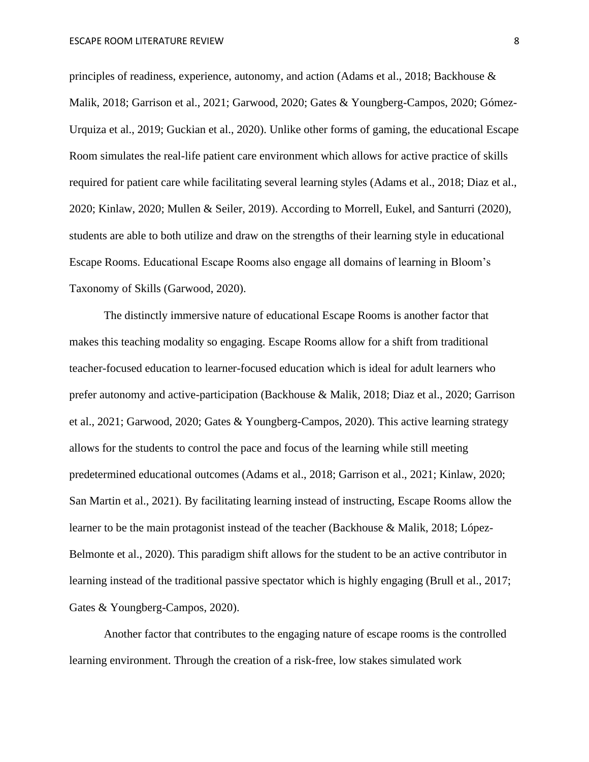principles of readiness, experience, autonomy, and action (Adams et al., 2018; Backhouse & Malik, 2018; Garrison et al., 2021; Garwood, 2020; Gates & Youngberg-Campos, 2020; Gómez-Urquiza et al., 2019; Guckian et al., 2020). Unlike other forms of gaming, the educational Escape Room simulates the real-life patient care environment which allows for active practice of skills required for patient care while facilitating several learning styles (Adams et al., 2018; Diaz et al., 2020; Kinlaw, 2020; Mullen & Seiler, 2019). According to Morrell, Eukel, and Santurri (2020), students are able to both utilize and draw on the strengths of their learning style in educational Escape Rooms. Educational Escape Rooms also engage all domains of learning in Bloom's Taxonomy of Skills (Garwood, 2020).

The distinctly immersive nature of educational Escape Rooms is another factor that makes this teaching modality so engaging. Escape Rooms allow for a shift from traditional teacher-focused education to learner-focused education which is ideal for adult learners who prefer autonomy and active-participation (Backhouse & Malik, 2018; Diaz et al., 2020; Garrison et al., 2021; Garwood, 2020; Gates & Youngberg-Campos, 2020). This active learning strategy allows for the students to control the pace and focus of the learning while still meeting predetermined educational outcomes (Adams et al., 2018; Garrison et al., 2021; Kinlaw, 2020; San Martin et al., 2021). By facilitating learning instead of instructing, Escape Rooms allow the learner to be the main protagonist instead of the teacher (Backhouse & Malik, 2018; López-Belmonte et al., 2020). This paradigm shift allows for the student to be an active contributor in learning instead of the traditional passive spectator which is highly engaging (Brull et al., 2017; Gates & Youngberg-Campos, 2020).

Another factor that contributes to the engaging nature of escape rooms is the controlled learning environment. Through the creation of a risk-free, low stakes simulated work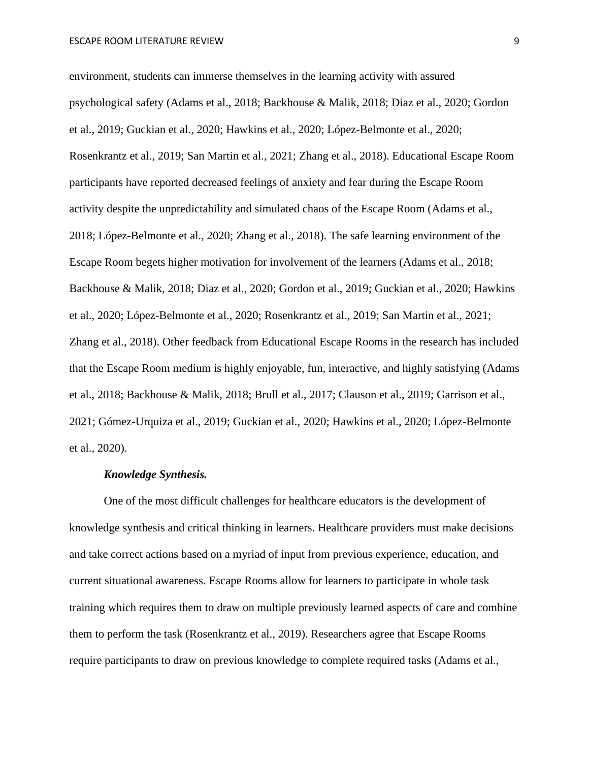environment, students can immerse themselves in the learning activity with assured psychological safety (Adams et al., 2018; Backhouse & Malik, 2018; Diaz et al., 2020; Gordon et al., 2019; Guckian et al., 2020; Hawkins et al., 2020; López-Belmonte et al., 2020; Rosenkrantz et al., 2019; San Martin et al., 2021; Zhang et al., 2018). Educational Escape Room participants have reported decreased feelings of anxiety and fear during the Escape Room activity despite the unpredictability and simulated chaos of the Escape Room (Adams et al., 2018; López-Belmonte et al., 2020; Zhang et al., 2018). The safe learning environment of the Escape Room begets higher motivation for involvement of the learners (Adams et al., 2018; Backhouse & Malik, 2018; Diaz et al., 2020; Gordon et al., 2019; Guckian et al., 2020; Hawkins et al., 2020; López-Belmonte et al., 2020; Rosenkrantz et al., 2019; San Martin et al., 2021; Zhang et al., 2018). Other feedback from Educational Escape Rooms in the research has included that the Escape Room medium is highly enjoyable, fun, interactive, and highly satisfying (Adams et al., 2018; Backhouse & Malik, 2018; Brull et al., 2017; Clauson et al., 2019; Garrison et al., 2021; Gómez-Urquiza et al., 2019; Guckian et al., 2020; Hawkins et al., 2020; López-Belmonte et al., 2020).

#### *Knowledge Synthesis.*

One of the most difficult challenges for healthcare educators is the development of knowledge synthesis and critical thinking in learners. Healthcare providers must make decisions and take correct actions based on a myriad of input from previous experience, education, and current situational awareness. Escape Rooms allow for learners to participate in whole task training which requires them to draw on multiple previously learned aspects of care and combine them to perform the task (Rosenkrantz et al., 2019). Researchers agree that Escape Rooms require participants to draw on previous knowledge to complete required tasks (Adams et al.,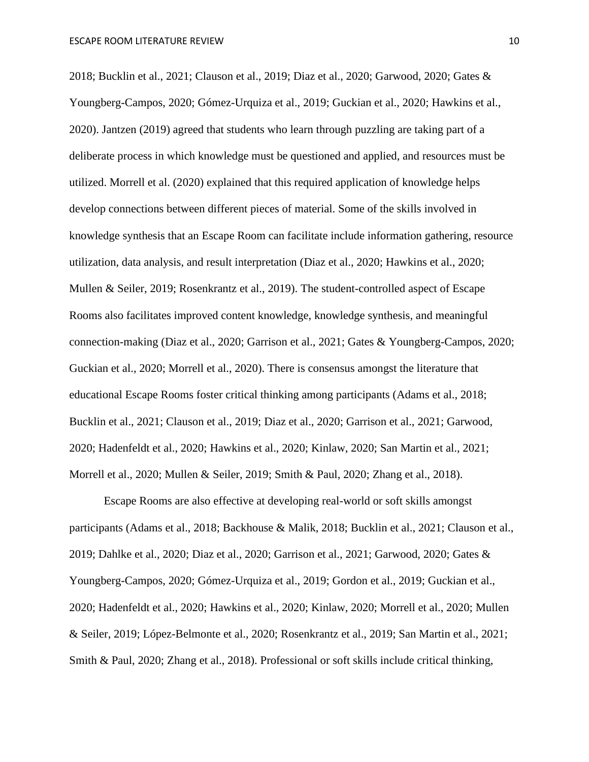2018; Bucklin et al., 2021; Clauson et al., 2019; Diaz et al., 2020; Garwood, 2020; Gates & Youngberg-Campos, 2020; Gómez-Urquiza et al., 2019; Guckian et al., 2020; Hawkins et al., 2020). Jantzen (2019) agreed that students who learn through puzzling are taking part of a deliberate process in which knowledge must be questioned and applied, and resources must be utilized. Morrell et al. (2020) explained that this required application of knowledge helps develop connections between different pieces of material. Some of the skills involved in knowledge synthesis that an Escape Room can facilitate include information gathering, resource utilization, data analysis, and result interpretation (Diaz et al., 2020; Hawkins et al., 2020; Mullen & Seiler, 2019; Rosenkrantz et al., 2019). The student-controlled aspect of Escape Rooms also facilitates improved content knowledge, knowledge synthesis, and meaningful connection-making (Diaz et al., 2020; Garrison et al., 2021; Gates & Youngberg-Campos, 2020; Guckian et al., 2020; Morrell et al., 2020). There is consensus amongst the literature that educational Escape Rooms foster critical thinking among participants (Adams et al., 2018; Bucklin et al., 2021; Clauson et al., 2019; Diaz et al., 2020; Garrison et al., 2021; Garwood, 2020; Hadenfeldt et al., 2020; Hawkins et al., 2020; Kinlaw, 2020; San Martin et al., 2021; Morrell et al., 2020; Mullen & Seiler, 2019; Smith & Paul, 2020; Zhang et al., 2018).

Escape Rooms are also effective at developing real-world or soft skills amongst participants (Adams et al., 2018; Backhouse & Malik, 2018; Bucklin et al., 2021; Clauson et al., 2019; Dahlke et al., 2020; Diaz et al., 2020; Garrison et al., 2021; Garwood, 2020; Gates & Youngberg-Campos, 2020; Gómez-Urquiza et al., 2019; Gordon et al., 2019; Guckian et al., 2020; Hadenfeldt et al., 2020; Hawkins et al., 2020; Kinlaw, 2020; Morrell et al., 2020; Mullen & Seiler, 2019; López-Belmonte et al., 2020; Rosenkrantz et al., 2019; San Martin et al., 2021; Smith & Paul, 2020; Zhang et al., 2018). Professional or soft skills include critical thinking,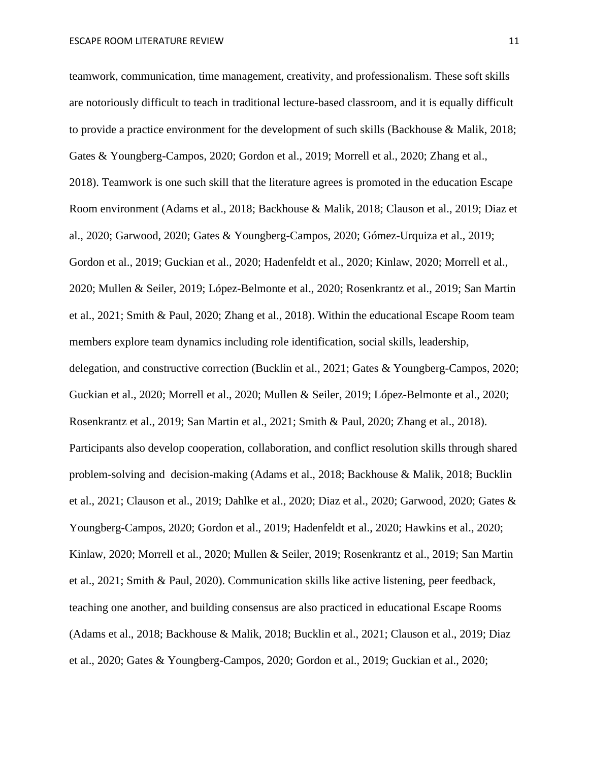teamwork, communication, time management, creativity, and professionalism. These soft skills are notoriously difficult to teach in traditional lecture-based classroom, and it is equally difficult to provide a practice environment for the development of such skills (Backhouse & Malik, 2018; Gates & Youngberg-Campos, 2020; Gordon et al., 2019; Morrell et al., 2020; Zhang et al., 2018). Teamwork is one such skill that the literature agrees is promoted in the education Escape Room environment (Adams et al., 2018; Backhouse & Malik, 2018; Clauson et al., 2019; Diaz et al., 2020; Garwood, 2020; Gates & Youngberg-Campos, 2020; Gómez-Urquiza et al., 2019; Gordon et al., 2019; Guckian et al., 2020; Hadenfeldt et al., 2020; Kinlaw, 2020; Morrell et al., 2020; Mullen & Seiler, 2019; López-Belmonte et al., 2020; Rosenkrantz et al., 2019; San Martin et al., 2021; Smith & Paul, 2020; Zhang et al., 2018). Within the educational Escape Room team members explore team dynamics including role identification, social skills, leadership, delegation, and constructive correction (Bucklin et al., 2021; Gates & Youngberg-Campos, 2020; Guckian et al., 2020; Morrell et al., 2020; Mullen & Seiler, 2019; López-Belmonte et al., 2020; Rosenkrantz et al., 2019; San Martin et al., 2021; Smith & Paul, 2020; Zhang et al., 2018). Participants also develop cooperation, collaboration, and conflict resolution skills through shared problem-solving and decision-making (Adams et al., 2018; Backhouse & Malik, 2018; Bucklin et al., 2021; Clauson et al., 2019; Dahlke et al., 2020; Diaz et al., 2020; Garwood, 2020; Gates & Youngberg-Campos, 2020; Gordon et al., 2019; Hadenfeldt et al., 2020; Hawkins et al., 2020; Kinlaw, 2020; Morrell et al., 2020; Mullen & Seiler, 2019; Rosenkrantz et al., 2019; San Martin et al., 2021; Smith & Paul, 2020). Communication skills like active listening, peer feedback, teaching one another, and building consensus are also practiced in educational Escape Rooms (Adams et al., 2018; Backhouse & Malik, 2018; Bucklin et al., 2021; Clauson et al., 2019; Diaz et al., 2020; Gates & Youngberg-Campos, 2020; Gordon et al., 2019; Guckian et al., 2020;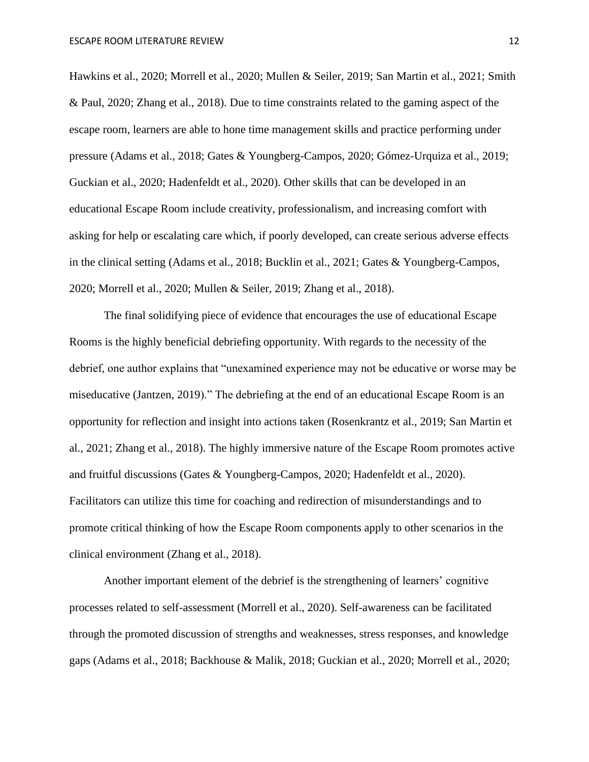Hawkins et al., 2020; Morrell et al., 2020; Mullen & Seiler, 2019; San Martin et al., 2021; Smith & Paul, 2020; Zhang et al., 2018). Due to time constraints related to the gaming aspect of the escape room, learners are able to hone time management skills and practice performing under pressure (Adams et al., 2018; Gates & Youngberg-Campos, 2020; Gómez-Urquiza et al., 2019; Guckian et al., 2020; Hadenfeldt et al., 2020). Other skills that can be developed in an educational Escape Room include creativity, professionalism, and increasing comfort with asking for help or escalating care which, if poorly developed, can create serious adverse effects in the clinical setting (Adams et al., 2018; Bucklin et al., 2021; Gates & Youngberg-Campos, 2020; Morrell et al., 2020; Mullen & Seiler, 2019; Zhang et al., 2018).

The final solidifying piece of evidence that encourages the use of educational Escape Rooms is the highly beneficial debriefing opportunity. With regards to the necessity of the debrief, one author explains that "unexamined experience may not be educative or worse may be miseducative (Jantzen, 2019)." The debriefing at the end of an educational Escape Room is an opportunity for reflection and insight into actions taken (Rosenkrantz et al., 2019; San Martin et al., 2021; Zhang et al., 2018). The highly immersive nature of the Escape Room promotes active and fruitful discussions (Gates & Youngberg-Campos, 2020; Hadenfeldt et al., 2020). Facilitators can utilize this time for coaching and redirection of misunderstandings and to promote critical thinking of how the Escape Room components apply to other scenarios in the clinical environment (Zhang et al., 2018).

Another important element of the debrief is the strengthening of learners' cognitive processes related to self-assessment (Morrell et al., 2020). Self-awareness can be facilitated through the promoted discussion of strengths and weaknesses, stress responses, and knowledge gaps (Adams et al., 2018; Backhouse & Malik, 2018; Guckian et al., 2020; Morrell et al., 2020;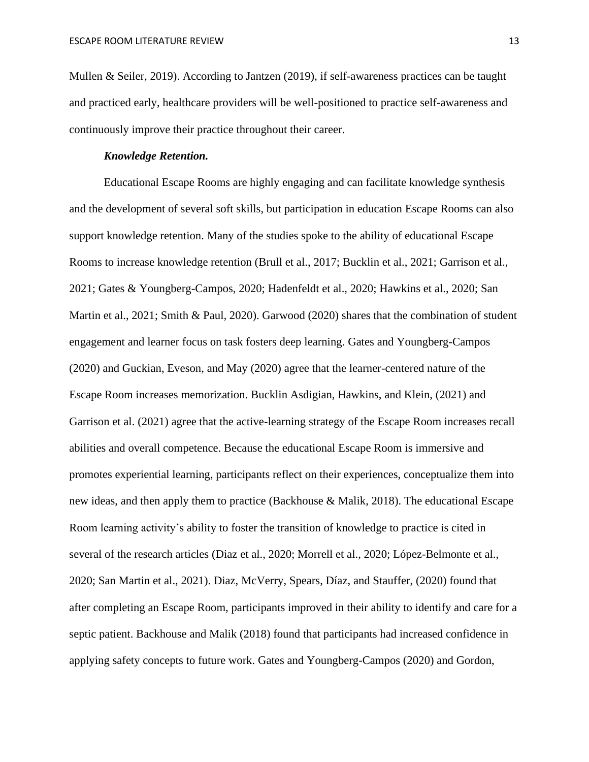Mullen & Seiler, 2019). According to Jantzen (2019), if self-awareness practices can be taught and practiced early, healthcare providers will be well-positioned to practice self-awareness and continuously improve their practice throughout their career.

### *Knowledge Retention.*

Educational Escape Rooms are highly engaging and can facilitate knowledge synthesis and the development of several soft skills, but participation in education Escape Rooms can also support knowledge retention. Many of the studies spoke to the ability of educational Escape Rooms to increase knowledge retention (Brull et al., 2017; Bucklin et al., 2021; Garrison et al., 2021; Gates & Youngberg-Campos, 2020; Hadenfeldt et al., 2020; Hawkins et al., 2020; San Martin et al., 2021; Smith & Paul, 2020). Garwood (2020) shares that the combination of student engagement and learner focus on task fosters deep learning. Gates and Youngberg-Campos (2020) and Guckian, Eveson, and May (2020) agree that the learner-centered nature of the Escape Room increases memorization. Bucklin Asdigian, Hawkins, and Klein, (2021) and Garrison et al. (2021) agree that the active-learning strategy of the Escape Room increases recall abilities and overall competence. Because the educational Escape Room is immersive and promotes experiential learning, participants reflect on their experiences, conceptualize them into new ideas, and then apply them to practice (Backhouse & Malik, 2018). The educational Escape Room learning activity's ability to foster the transition of knowledge to practice is cited in several of the research articles (Diaz et al., 2020; Morrell et al., 2020; López-Belmonte et al., 2020; San Martin et al., 2021). Diaz, McVerry, Spears, Díaz, and Stauffer, (2020) found that after completing an Escape Room, participants improved in their ability to identify and care for a septic patient. Backhouse and Malik (2018) found that participants had increased confidence in applying safety concepts to future work. Gates and Youngberg-Campos (2020) and Gordon,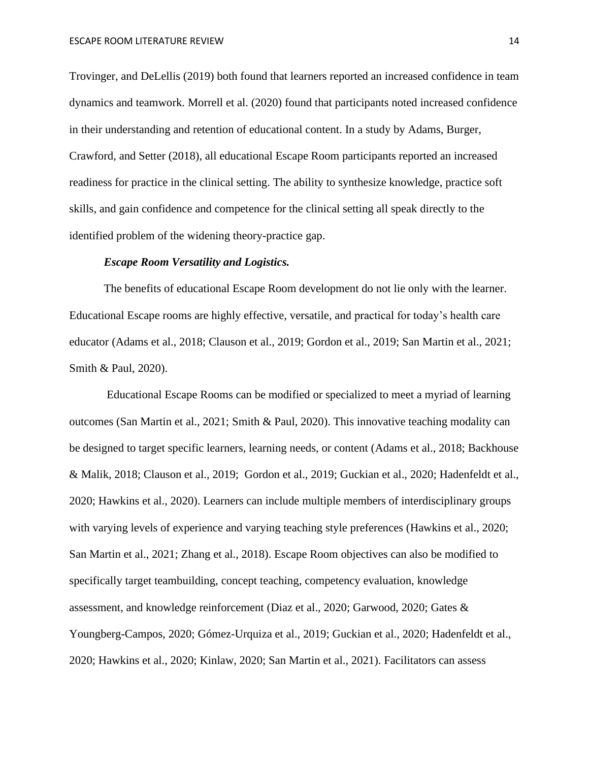Trovinger, and DeLellis (2019) both found that learners reported an increased confidence in team dynamics and teamwork. Morrell et al. (2020) found that participants noted increased confidence in their understanding and retention of educational content. In a study by Adams, Burger, Crawford, and Setter (2018), all educational Escape Room participants reported an increased readiness for practice in the clinical setting. The ability to synthesize knowledge, practice soft skills, and gain confidence and competence for the clinical setting all speak directly to the identified problem of the widening theory-practice gap.

## *Escape Room Versatility and Logistics.*

The benefits of educational Escape Room development do not lie only with the learner. Educational Escape rooms are highly effective, versatile, and practical for today's health care educator (Adams et al., 2018; Clauson et al., 2019; Gordon et al., 2019; San Martin et al., 2021; Smith & Paul, 2020).

Educational Escape Rooms can be modified or specialized to meet a myriad of learning outcomes (San Martin et al., 2021; Smith & Paul, 2020). This innovative teaching modality can be designed to target specific learners, learning needs, or content (Adams et al., 2018; Backhouse & Malik, 2018; Clauson et al., 2019; Gordon et al., 2019; Guckian et al., 2020; Hadenfeldt et al., 2020; Hawkins et al., 2020). Learners can include multiple members of interdisciplinary groups with varying levels of experience and varying teaching style preferences (Hawkins et al., 2020; San Martin et al., 2021; Zhang et al., 2018). Escape Room objectives can also be modified to specifically target teambuilding, concept teaching, competency evaluation, knowledge assessment, and knowledge reinforcement (Diaz et al., 2020; Garwood, 2020; Gates & Youngberg-Campos, 2020; Gómez-Urquiza et al., 2019; Guckian et al., 2020; Hadenfeldt et al., 2020; Hawkins et al., 2020; Kinlaw, 2020; San Martin et al., 2021). Facilitators can assess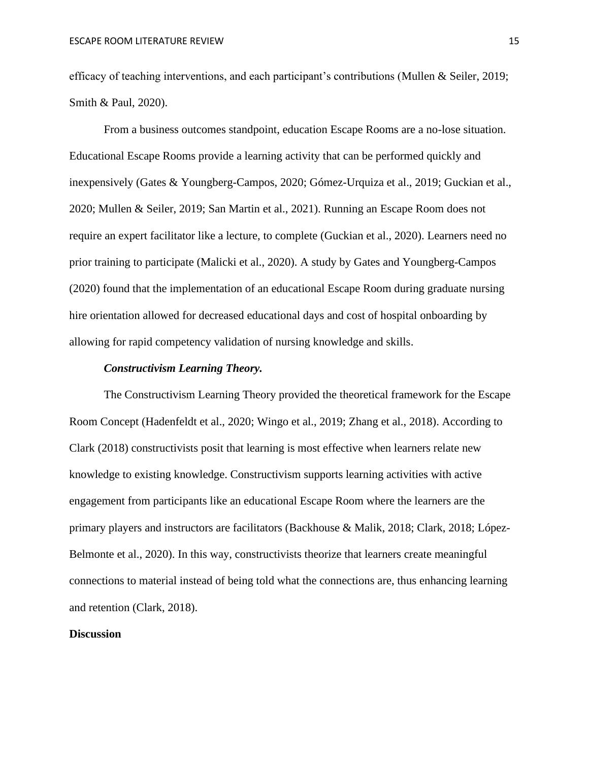efficacy of teaching interventions, and each participant's contributions (Mullen & Seiler, 2019; Smith & Paul, 2020).

From a business outcomes standpoint, education Escape Rooms are a no-lose situation. Educational Escape Rooms provide a learning activity that can be performed quickly and inexpensively (Gates & Youngberg-Campos, 2020; Gómez-Urquiza et al., 2019; Guckian et al., 2020; Mullen & Seiler, 2019; San Martin et al., 2021). Running an Escape Room does not require an expert facilitator like a lecture, to complete (Guckian et al., 2020). Learners need no prior training to participate (Malicki et al., 2020). A study by Gates and Youngberg-Campos (2020) found that the implementation of an educational Escape Room during graduate nursing hire orientation allowed for decreased educational days and cost of hospital onboarding by allowing for rapid competency validation of nursing knowledge and skills.

### *Constructivism Learning Theory.*

The Constructivism Learning Theory provided the theoretical framework for the Escape Room Concept (Hadenfeldt et al., 2020; Wingo et al., 2019; Zhang et al., 2018). According to Clark (2018) constructivists posit that learning is most effective when learners relate new knowledge to existing knowledge. Constructivism supports learning activities with active engagement from participants like an educational Escape Room where the learners are the primary players and instructors are facilitators (Backhouse & Malik, 2018; Clark, 2018; López-Belmonte et al., 2020). In this way, constructivists theorize that learners create meaningful connections to material instead of being told what the connections are, thus enhancing learning and retention (Clark, 2018).

### **Discussion**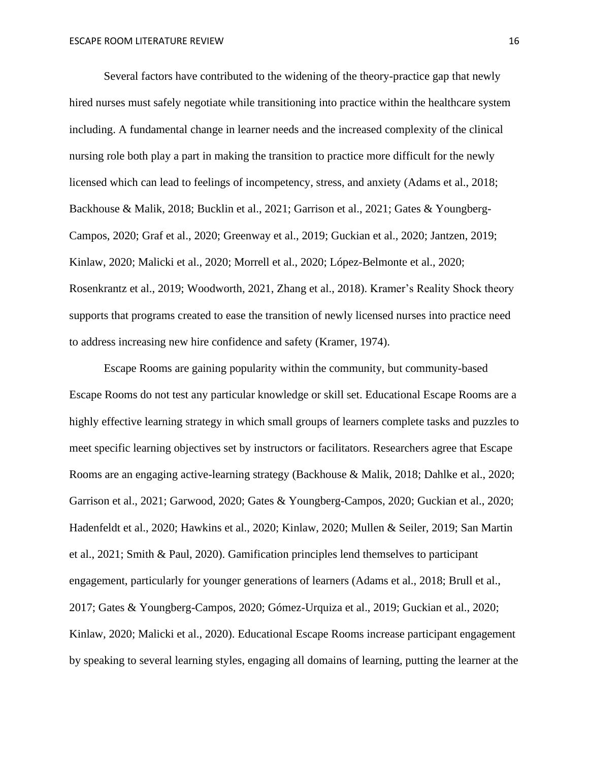Several factors have contributed to the widening of the theory-practice gap that newly hired nurses must safely negotiate while transitioning into practice within the healthcare system including. A fundamental change in learner needs and the increased complexity of the clinical nursing role both play a part in making the transition to practice more difficult for the newly licensed which can lead to feelings of incompetency, stress, and anxiety (Adams et al., 2018; Backhouse & Malik, 2018; Bucklin et al., 2021; Garrison et al., 2021; Gates & Youngberg-Campos, 2020; Graf et al., 2020; Greenway et al., 2019; Guckian et al., 2020; Jantzen, 2019; Kinlaw, 2020; Malicki et al., 2020; Morrell et al., 2020; López-Belmonte et al., 2020; Rosenkrantz et al., 2019; Woodworth, 2021, Zhang et al., 2018). Kramer's Reality Shock theory supports that programs created to ease the transition of newly licensed nurses into practice need to address increasing new hire confidence and safety (Kramer, 1974).

Escape Rooms are gaining popularity within the community, but community-based Escape Rooms do not test any particular knowledge or skill set. Educational Escape Rooms are a highly effective learning strategy in which small groups of learners complete tasks and puzzles to meet specific learning objectives set by instructors or facilitators. Researchers agree that Escape Rooms are an engaging active-learning strategy (Backhouse & Malik, 2018; Dahlke et al., 2020; Garrison et al., 2021; Garwood, 2020; Gates & Youngberg-Campos, 2020; Guckian et al., 2020; Hadenfeldt et al., 2020; Hawkins et al., 2020; Kinlaw, 2020; Mullen & Seiler, 2019; San Martin et al., 2021; Smith & Paul, 2020). Gamification principles lend themselves to participant engagement, particularly for younger generations of learners (Adams et al., 2018; Brull et al., 2017; Gates & Youngberg-Campos, 2020; Gómez-Urquiza et al., 2019; Guckian et al., 2020; Kinlaw, 2020; Malicki et al., 2020). Educational Escape Rooms increase participant engagement by speaking to several learning styles, engaging all domains of learning, putting the learner at the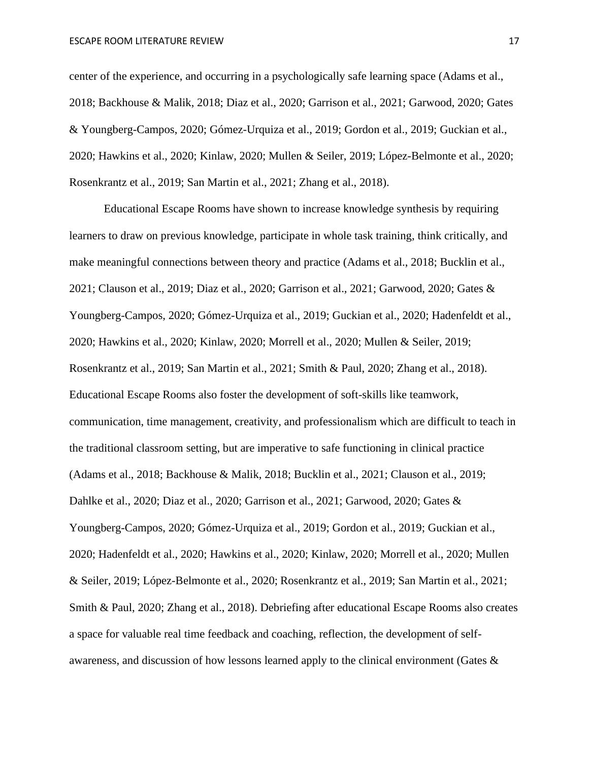center of the experience, and occurring in a psychologically safe learning space (Adams et al., 2018; Backhouse & Malik, 2018; Diaz et al., 2020; Garrison et al., 2021; Garwood, 2020; Gates & Youngberg-Campos, 2020; Gómez-Urquiza et al., 2019; Gordon et al., 2019; Guckian et al., 2020; Hawkins et al., 2020; Kinlaw, 2020; Mullen & Seiler, 2019; López-Belmonte et al., 2020; Rosenkrantz et al., 2019; San Martin et al., 2021; Zhang et al., 2018).

Educational Escape Rooms have shown to increase knowledge synthesis by requiring learners to draw on previous knowledge, participate in whole task training, think critically, and make meaningful connections between theory and practice (Adams et al., 2018; Bucklin et al., 2021; Clauson et al., 2019; Diaz et al., 2020; Garrison et al., 2021; Garwood, 2020; Gates & Youngberg-Campos, 2020; Gómez-Urquiza et al., 2019; Guckian et al., 2020; Hadenfeldt et al., 2020; Hawkins et al., 2020; Kinlaw, 2020; Morrell et al., 2020; Mullen & Seiler, 2019; Rosenkrantz et al., 2019; San Martin et al., 2021; Smith & Paul, 2020; Zhang et al., 2018). Educational Escape Rooms also foster the development of soft-skills like teamwork, communication, time management, creativity, and professionalism which are difficult to teach in the traditional classroom setting, but are imperative to safe functioning in clinical practice (Adams et al., 2018; Backhouse & Malik, 2018; Bucklin et al., 2021; Clauson et al., 2019; Dahlke et al., 2020; Diaz et al., 2020; Garrison et al., 2021; Garwood, 2020; Gates & Youngberg-Campos, 2020; Gómez-Urquiza et al., 2019; Gordon et al., 2019; Guckian et al., 2020; Hadenfeldt et al., 2020; Hawkins et al., 2020; Kinlaw, 2020; Morrell et al., 2020; Mullen & Seiler, 2019; López-Belmonte et al., 2020; Rosenkrantz et al., 2019; San Martin et al., 2021; Smith & Paul, 2020; Zhang et al., 2018). Debriefing after educational Escape Rooms also creates a space for valuable real time feedback and coaching, reflection, the development of selfawareness, and discussion of how lessons learned apply to the clinical environment (Gates &